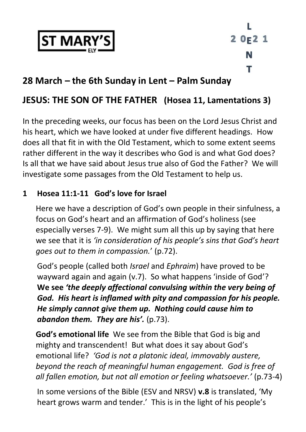

L  $20F21$ N т

# **28 March – the 6th Sunday in Lent – Palm Sunday**

# **JESUS: THE SON OF THE FATHER (Hosea 11, Lamentations 3)**

In the preceding weeks, our focus has been on the Lord Jesus Christ and his heart, which we have looked at under five different headings. How does all that fit in with the Old Testament, which to some extent seems rather different in the way it describes who God is and what God does? Is all that we have said about Jesus true also of God the Father? We will investigate some passages from the Old Testament to help us.

### **1 Hosea 11:1-11 God's love for Israel**

Here we have a description of God's own people in their sinfulness, a focus on God's heart and an affirmation of God's holiness (see especially verses 7-9). We might sum all this up by saying that here we see that it is *'in consideration of his people's sins that God's heart goes out to them in compassion.*' (p.72).

God's people (called both *Israel* and *Ephraim*) have proved to be wayward again and again (v.7). So what happens 'inside of God'? **We see** *'the deeply affectional convulsing within the very being of God. His heart is inflamed with pity and compassion for his people. He simply cannot give them up. Nothing could cause him to abandon them. They are his'.* (p.73).

**God's emotional life** We see from the Bible that God is big and mighty and transcendent! But what does it say about God's emotional life? *'God is not a platonic ideal, immovably austere, beyond the reach of meaningful human engagement. God is free of all fallen emotion, but not all emotion or feeling whatsoever.'* (p.73-4)

In some versions of the Bible (ESV and NRSV) **v.8** is translated, 'My heart grows warm and tender.' This is in the light of his people's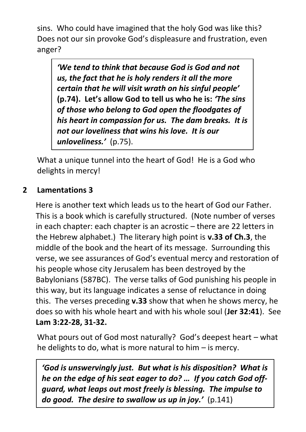sins. Who could have imagined that the holy God was like this? Does not our sin provoke God's displeasure and frustration, even anger?

*'We tend to think that because God is God and not us, the fact that he is holy renders it all the more certain that he will visit wrath on his sinful people'*  **(p.74). Let's allow God to tell us who he is:** *'The sins of those who belong to God open the floodgates of his heart in compassion for us. The dam breaks. It is not our loveliness that wins his love. It is our unloveliness.'* (p.75).

What a unique tunnel into the heart of God! He is a God who delights in mercy!

# **2 Lamentations 3**

Here is another text which leads us to the heart of God our Father. This is a book which is carefully structured. (Note number of verses in each chapter: each chapter is an acrostic – there are 22 letters in the Hebrew alphabet.) The literary high point is **v.33 of Ch.3**, the middle of the book and the heart of its message. Surrounding this verse, we see assurances of God's eventual mercy and restoration of his people whose city Jerusalem has been destroyed by the Babylonians (587BC). The verse talks of God punishing his people in this way, but its language indicates a sense of reluctance in doing this. The verses preceding **v.33** show that when he shows mercy, he does so with his whole heart and with his whole soul (**Jer 32:41**). See **Lam 3:22-28, 31-32.**

What pours out of God most naturally? God's deepest heart – what he delights to do, what is more natural to him – is mercy.

*'God is unswervingly just. But what is his disposition? What is he on the edge of his seat eager to do? … If you catch God offguard, what leaps out most freely is blessing. The impulse to do good. The desire to swallow us up in joy.'* (p.141)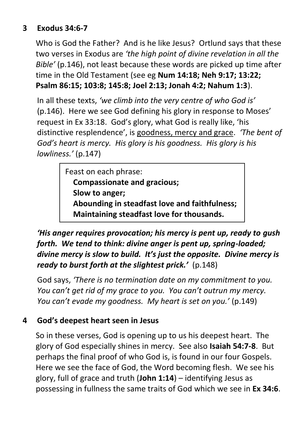### **3 Exodus 34:6-7**

Who is God the Father? And is he like Jesus? Ortlund says that these two verses in Exodus are *'the high point of divine revelation in all the Bible'* (p.146), not least because these words are picked up time after time in the Old Testament (see eg **Num 14:18; Neh 9:17; 13:22; Psalm 86:15; 103:8; 145:8; Joel 2:13; Jonah 4:2; Nahum 1:3**).

In all these texts, *'we climb into the very centre of who God is'*  (p.146). Here we see God defining his glory in response to Moses' request in Ex 33:18. God's glory, what God is really like, 'his distinctive resplendence', is goodness, mercy and grace. *'The bent of God's heart is mercy. His glory is his goodness. His glory is his lowliness.'* (p.147)

> Feast on each phrase:  **Compassionate and gracious; Slow to anger; Abounding in steadfast love and faithfulness; Maintaining steadfast love for thousands.**

*'His anger requires provocation; his mercy is pent up, ready to qush forth. We tend to think: divine anger is pent up, spring-loaded; divine mercy is slow to build. It's just the opposite. Divine mercy is ready to burst forth at the slightest prick.'* (p.148)

God says, *'There is no termination date on my commitment to you. You can't get rid of my grace to you. You can't outrun my mercy. You can't evade my goodness. My heart is set on you.'* (p.149)

# **4 God's deepest heart seen in Jesus**

So in these verses, God is opening up to us his deepest heart. The glory of God especially shines in mercy. See also **Isaiah 54:7-8**. But perhaps the final proof of who God is, is found in our four Gospels. Here we see the face of God, the Word becoming flesh. We see his glory, full of grace and truth (**John 1:14**) – identifying Jesus as possessing in fullness the same traits of God which we see in **Ex 34:6**.